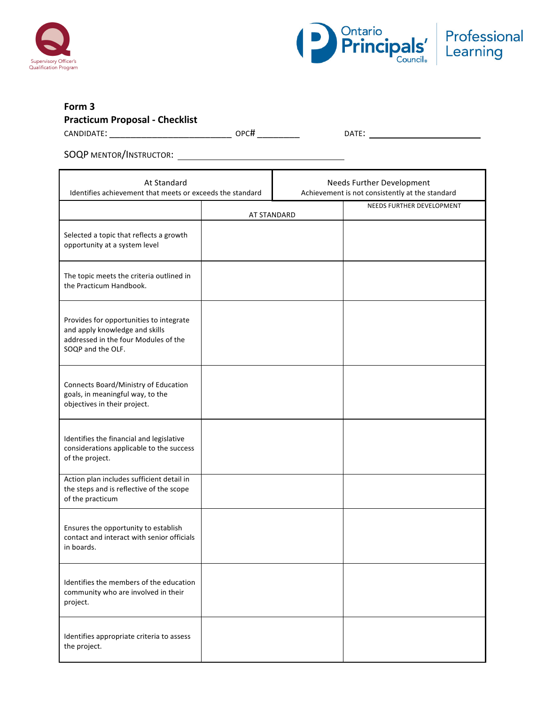



# **Form 3**

# **Practicum Proposal - Checklist**

CANDIDATE: \_\_\_\_\_\_\_\_\_\_\_\_\_\_\_\_\_\_\_\_\_\_\_ OPC# \_\_\_\_\_\_\_\_ DATE:

SOQP MENTOR/INSTRUCTOR:

| At Standard<br>Identifies achievement that meets or exceeds the standard                                                               |  | Needs Further Development<br>Achievement is not consistently at the standard |                           |
|----------------------------------------------------------------------------------------------------------------------------------------|--|------------------------------------------------------------------------------|---------------------------|
|                                                                                                                                        |  | AT STANDARD                                                                  | NEEDS FURTHER DEVELOPMENT |
| Selected a topic that reflects a growth<br>opportunity at a system level                                                               |  |                                                                              |                           |
| The topic meets the criteria outlined in<br>the Practicum Handbook.                                                                    |  |                                                                              |                           |
| Provides for opportunities to integrate<br>and apply knowledge and skills<br>addressed in the four Modules of the<br>SOQP and the OLF. |  |                                                                              |                           |
| Connects Board/Ministry of Education<br>goals, in meaningful way, to the<br>objectives in their project.                               |  |                                                                              |                           |
| Identifies the financial and legislative<br>considerations applicable to the success<br>of the project.                                |  |                                                                              |                           |
| Action plan includes sufficient detail in<br>the steps and is reflective of the scope<br>of the practicum                              |  |                                                                              |                           |
| Ensures the opportunity to establish<br>contact and interact with senior officials<br>in boards.                                       |  |                                                                              |                           |
| Identifies the members of the education<br>community who are involved in their<br>project.                                             |  |                                                                              |                           |
| Identifies appropriate criteria to assess<br>the project.                                                                              |  |                                                                              |                           |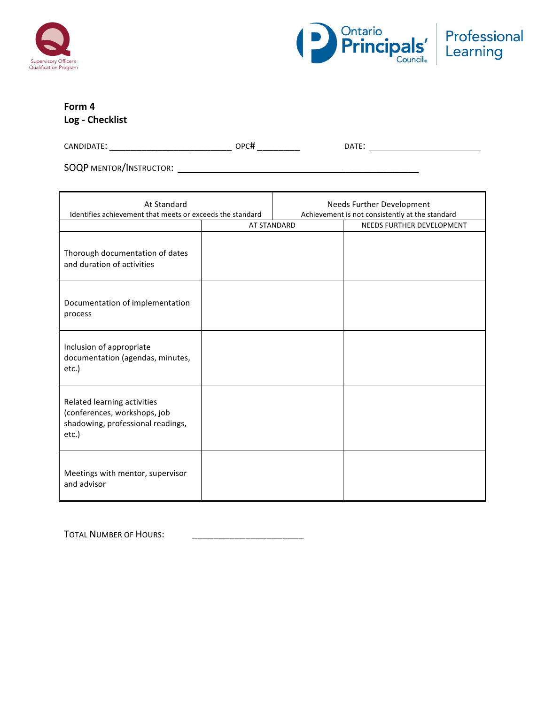



# **Form 4**

**Log - Checklist**

CANDIDATE: \_\_\_\_\_\_\_\_\_\_\_\_\_\_\_\_\_\_\_\_\_\_\_ OPC# \_\_\_\_\_\_\_\_ DATE:

SOQP MENTOR/INSTRUCTOR: \_\_\_\_\_\_\_\_\_\_\_\_\_\_

| At Standard<br>Identifies achievement that meets or exceeds the standard                                     |                    | Needs Further Development<br>Achievement is not consistently at the standard |                           |
|--------------------------------------------------------------------------------------------------------------|--------------------|------------------------------------------------------------------------------|---------------------------|
|                                                                                                              | <b>AT STANDARD</b> |                                                                              | NEEDS FURTHER DEVELOPMENT |
| Thorough documentation of dates<br>and duration of activities                                                |                    |                                                                              |                           |
| Documentation of implementation<br>process                                                                   |                    |                                                                              |                           |
| Inclusion of appropriate<br>documentation (agendas, minutes,<br>etc.)                                        |                    |                                                                              |                           |
| Related learning activities<br>(conferences, workshops, job<br>shadowing, professional readings,<br>$etc.$ ) |                    |                                                                              |                           |
| Meetings with mentor, supervisor<br>and advisor                                                              |                    |                                                                              |                           |

TOTAL NUMBER OF HOURS: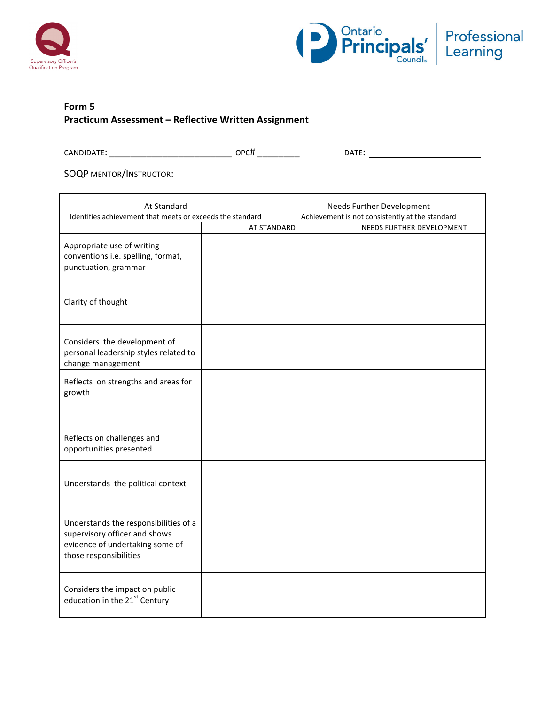



## **Form 5 Practicum Assessment – Reflective Written Assignment**

CANDIDATE: \_\_\_\_\_\_\_\_\_\_\_\_\_\_\_\_\_\_\_\_\_\_\_ OPC# \_\_\_\_\_\_\_\_ DATE:

SOQP MENTOR/INSTRUCTOR:

| At Standard<br>Identifies achievement that meets or exceeds the standard                                                            |                    | Needs Further Development<br>Achievement is not consistently at the standard |                           |
|-------------------------------------------------------------------------------------------------------------------------------------|--------------------|------------------------------------------------------------------------------|---------------------------|
|                                                                                                                                     | <b>AT STANDARD</b> |                                                                              | NEEDS FURTHER DEVELOPMENT |
| Appropriate use of writing<br>conventions i.e. spelling, format,<br>punctuation, grammar                                            |                    |                                                                              |                           |
| Clarity of thought                                                                                                                  |                    |                                                                              |                           |
| Considers the development of<br>personal leadership styles related to<br>change management                                          |                    |                                                                              |                           |
| Reflects on strengths and areas for<br>growth                                                                                       |                    |                                                                              |                           |
| Reflects on challenges and<br>opportunities presented                                                                               |                    |                                                                              |                           |
| Understands the political context                                                                                                   |                    |                                                                              |                           |
| Understands the responsibilities of a<br>supervisory officer and shows<br>evidence of undertaking some of<br>those responsibilities |                    |                                                                              |                           |
| Considers the impact on public<br>education in the 21st Century                                                                     |                    |                                                                              |                           |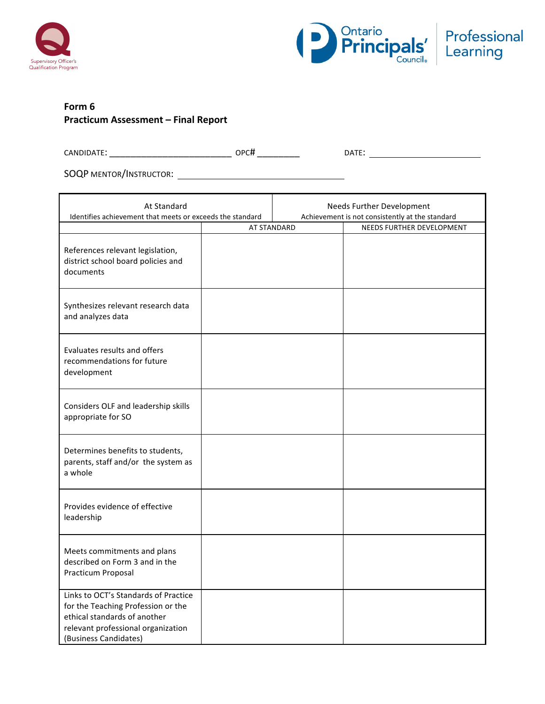



## **Form 6 Practicum Assessment – Final Report**

| $\cap$ ANDIL.<br>40. ו<br>∽ | חסר.<br>.<br>--<br>___ | ıΛ |
|-----------------------------|------------------------|----|
|                             |                        |    |

SOQP MENTOR/INSTRUCTOR: \\contact \\contact \\contact \\contact \\contact \\contact \\contact \\contact \\contact \\contact \\contact \\contact \\contact \\contact \\contact \\contact \\contact \\contact \\contact \\contac

| At Standard<br>Identifies achievement that meets or exceeds the standard                                                                                                  |             | <b>Needs Further Development</b><br>Achievement is not consistently at the standard |                           |
|---------------------------------------------------------------------------------------------------------------------------------------------------------------------------|-------------|-------------------------------------------------------------------------------------|---------------------------|
|                                                                                                                                                                           | AT STANDARD |                                                                                     | NEEDS FURTHER DEVELOPMENT |
| References relevant legislation,<br>district school board policies and<br>documents                                                                                       |             |                                                                                     |                           |
| Synthesizes relevant research data<br>and analyzes data                                                                                                                   |             |                                                                                     |                           |
| Evaluates results and offers<br>recommendations for future<br>development                                                                                                 |             |                                                                                     |                           |
| Considers OLF and leadership skills<br>appropriate for SO                                                                                                                 |             |                                                                                     |                           |
| Determines benefits to students,<br>parents, staff and/or the system as<br>a whole                                                                                        |             |                                                                                     |                           |
| Provides evidence of effective<br>leadership                                                                                                                              |             |                                                                                     |                           |
| Meets commitments and plans<br>described on Form 3 and in the<br>Practicum Proposal                                                                                       |             |                                                                                     |                           |
| Links to OCT's Standards of Practice<br>for the Teaching Profession or the<br>ethical standards of another<br>relevant professional organization<br>(Business Candidates) |             |                                                                                     |                           |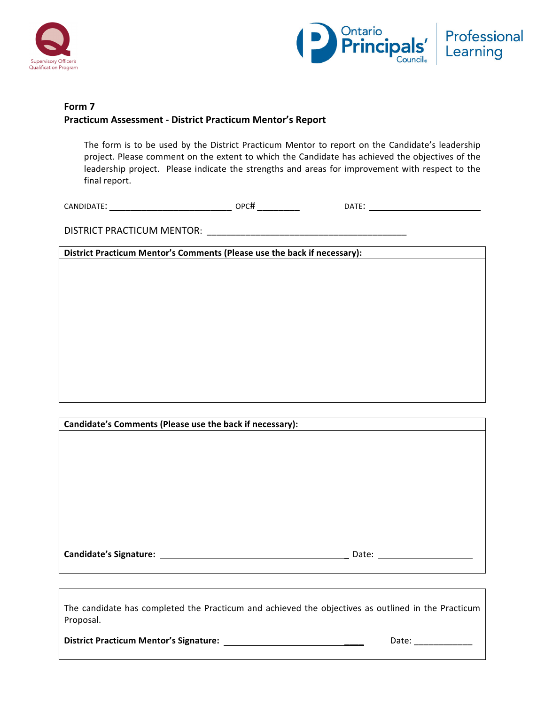



## **Form 7 Practicum Assessment - District Practicum Mentor's Report**

The form is to be used by the District Practicum Mentor to report on the Candidate's leadership project. Please comment on the extent to which the Candidate has achieved the objectives of the leadership project. Please indicate the strengths and areas for improvement with respect to the final report.

CANDIDATE: \_\_\_\_\_\_\_\_\_\_\_\_\_\_\_\_\_\_\_\_\_\_\_ OPC# \_\_\_\_\_\_\_\_ DATE:

DISTRICT PRACTICUM MENTOR: \_\_\_\_\_\_\_\_\_\_\_\_\_\_\_\_\_\_\_\_\_\_\_\_\_\_\_\_\_\_\_\_\_\_\_\_\_\_\_\_\_

District Practicum Mentor's Comments (Please use the back if necessary):

| Candidate's Comments (Please use the back if necessary): |       |  |
|----------------------------------------------------------|-------|--|
|                                                          |       |  |
|                                                          |       |  |
|                                                          |       |  |
|                                                          |       |  |
|                                                          |       |  |
|                                                          |       |  |
|                                                          |       |  |
|                                                          |       |  |
|                                                          |       |  |
| <b>Candidate's Signature:</b>                            | Date: |  |

The candidate has completed the Practicum and achieved the objectives as outlined in the Practicum Proposal. 

**District Practicum Mentor's Signature:** \_\_\_\_ Date: \_\_\_\_\_\_\_\_\_\_\_\_